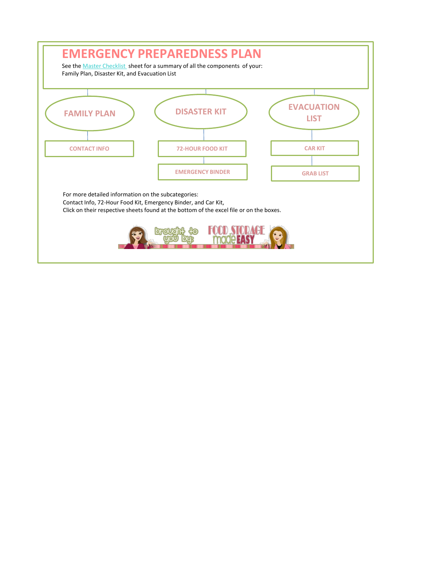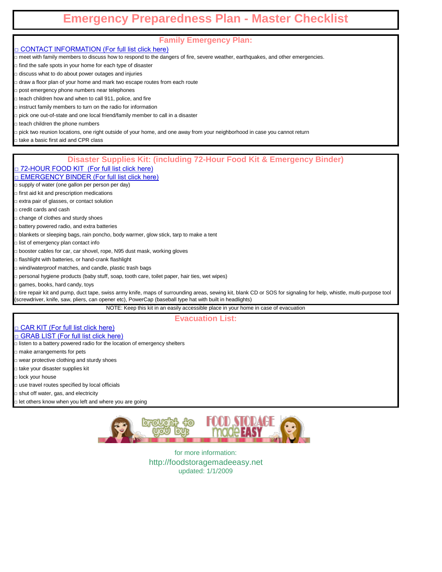# **Emergency Preparedness Plan - Master Checklist**

## **Family Emergency Plan:**

□ CONTACT INFORMATION (For full list click here)

□ meet with family members to discuss how to respond to the dangers of fire, severe weather, earthquakes, and other emergencies.

□ find the safe spots in your home for each type of disaster

□ discuss what to do about power outages and injuries

□ draw a floor plan of your home and mark two escape routes from each route

□ post emergency phone numbers near telephones

□ teach children how and when to call 911, police, and fire

□ instruct family members to turn on the radio for information

□ pick one out-of-state and one local friend/family member to call in a disaster

□ teach children the phone numbers

□ pick two reunion locations, one right outside of your home, and one away from your neighborhood in case you cannot return

□ take a basic first aid and CPR class

### **Disaster Supplies Kit: (including 72-Hour Food Kit & Emergency Binder)**

□ 72-HOUR FOOD KIT (For full list click here)

□ EMERGENCY BINDER (For full list click here)

□ supply of water (one gallon per person per day)

□ first aid kit and prescription medications

□ extra pair of glasses, or contact solution

□ credit cards and cash

□ change of clothes and sturdy shoes

□ battery powered radio, and extra batteries

□ blankets or sleeping bags, rain poncho, body warmer, glow stick, tarp to make a tent

□ list of emergency plan contact info

□ booster cables for car, car shovel, rope, N95 dust mask, working gloves

□ flashlight with batteries, or hand-crank flashlight

□ wind/waterproof matches, and candle, plastic trash bags

□ personal hygiene products (baby stuff, soap, tooth care, toilet paper, hair ties, wet wipes)

□ games, books, hard candy, toys

□ tire repair kit and pump, duct tape, swiss army knife, maps of surrounding areas, sewing kit, blank CD or SOS for signaling for help, whistle, multi-purpose tool (screwdriver, knife, saw, pliers, can opener etc), PowerCap (baseball type hat with built in headlights)

NOTE: Keep this kit in an easily accessible place in your home in case of evacuation

**Evacuation List:**

□ CAR KIT (For full list click here)

□ GRAB LIST (For full list click here)

 $\Box$  listen to a battery powered radio for the location of emergency shelters

□ make arrangements for pets

□ wear protective clothing and sturdy shoes

□ take your disaster supplies kit

□ lock your house

□ use travel routes specified by local officials

□ shut off water, gas, and electricity

□ let others know when you left and where you are going

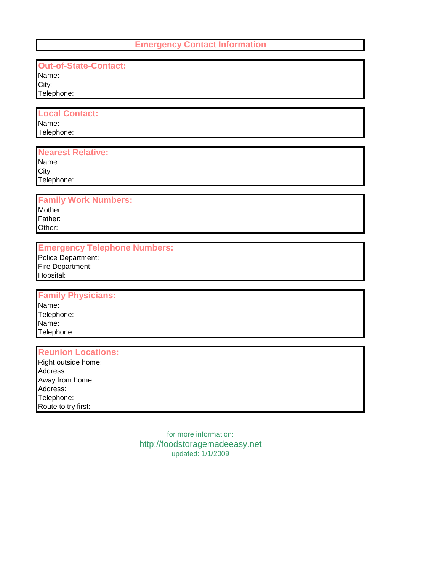#### **Emergency Contact Information**

## **Out-of-State-Contact:**

Name: City: Telephone:

# **Local Contact:**

Name: Telephone:

## **Nearest Relative:**

Name: City:

Telephone:

## **Family Work Numbers:**

Mother: Father: Other:

## **Emergency Telephone Numbers:**

Police Department: Fire Department: Hopsital:

## **Family Physicians:**

Name: Telephone: Name: Telephone:

#### **Reunion Locations:**

Right outside home: Address: Away from home: Address: Telephone: Route to try first: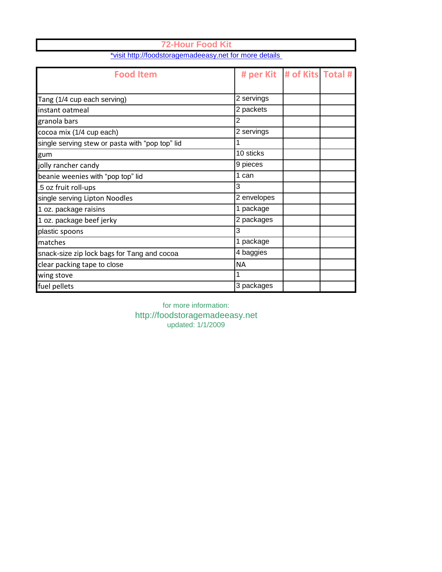| <b>Food Item</b>                                |             | # per Kit   # of Kits Total # |  |
|-------------------------------------------------|-------------|-------------------------------|--|
| Tang (1/4 cup each serving)                     | 2 servings  |                               |  |
| instant oatmeal                                 | 2 packets   |                               |  |
| granola bars                                    | 2           |                               |  |
| cocoa mix (1/4 cup each)                        | 2 servings  |                               |  |
| single serving stew or pasta with "pop top" lid | 1           |                               |  |
| gum                                             | 10 sticks   |                               |  |
| jolly rancher candy                             | 9 pieces    |                               |  |
| beanie weenies with "pop top" lid               | 1 can       |                               |  |
| .5 oz fruit roll-ups                            | 3           |                               |  |
| single serving Lipton Noodles                   | 2 envelopes |                               |  |
| 1 oz. package raisins                           | 1 package   |                               |  |
| 1 oz. package beef jerky                        | 2 packages  |                               |  |
| plastic spoons                                  | 3           |                               |  |
| matches                                         | 1 package   |                               |  |
| snack-size zip lock bags for Tang and cocoa     | 4 baggies   |                               |  |
| clear packing tape to close                     | ΝA          |                               |  |
| wing stove                                      |             |                               |  |
| fuel pellets                                    | 3 packages  |                               |  |

**72-Hour Food Kit** [\\*visit http://foodstoragemadeeasy.net fo](http://foodstoragemadeeasy.net/2008/06/13/how-to-make-a-72-hour-kit/)r more details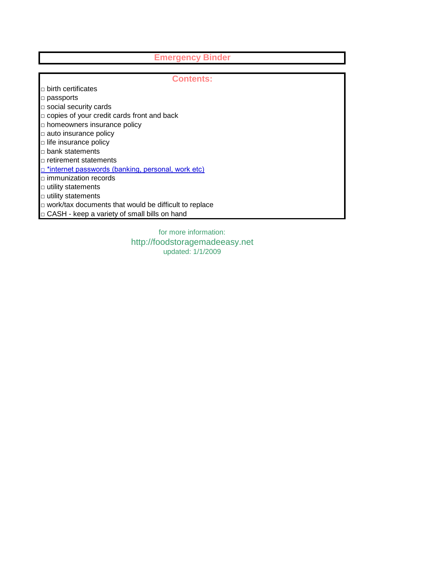# **Emergency Binder**

| <b>Contents:</b>                                             |  |  |  |  |
|--------------------------------------------------------------|--|--|--|--|
| $\Box$ birth certificates                                    |  |  |  |  |
| $\Box$ passports                                             |  |  |  |  |
| $\Box$ social security cards                                 |  |  |  |  |
| $\Box$ copies of your credit cards front and back            |  |  |  |  |
| $\Box$ homeowners insurance policy                           |  |  |  |  |
| $\Box$ auto insurance policy                                 |  |  |  |  |
| $\Box$ life insurance policy                                 |  |  |  |  |
| $\Box$ bank statements                                       |  |  |  |  |
| $\sqcap$ retirement statements                               |  |  |  |  |
| $\Box$ *internet passwords (banking, personal, work etc)     |  |  |  |  |
| $\Box$ immunization records                                  |  |  |  |  |
| $\Box$ utility statements                                    |  |  |  |  |
| $\Box$ utility statements                                    |  |  |  |  |
| $\Box$ work/tax documents that would be difficult to replace |  |  |  |  |
| $\Box$ CASH - keep a variety of small bills on hand          |  |  |  |  |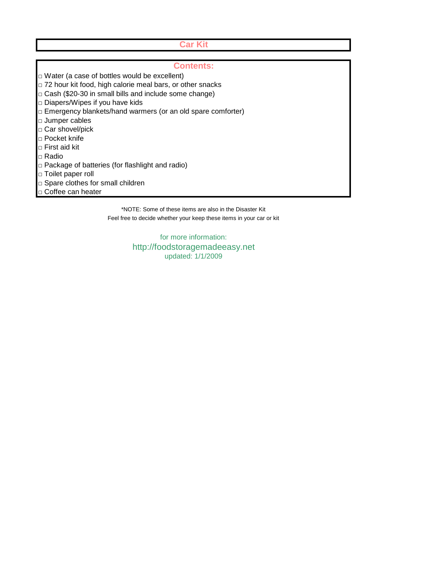### **Car Kit**

#### **Contents:**

- □ Water (a case of bottles would be excellent)
- □ 72 hour kit food, high calorie meal bars, or other snacks
- $\Box$  Cash (\$20-30 in small bills and include some change)
- □ Diapers/Wipes if you have kids
- □ Emergency blankets/hand warmers (or an old spare comforter)
- □ Jumper cables
- □ Car shovel/pick
- □ Pocket knife
- □ First aid kit
- □ Radio
- □ Package of batteries (for flashlight and radio)
- □ Toilet paper roll
- □ Spare clothes for small children
- □ Coffee can heater

\*NOTE: Some of these items are also in the Disaster Kit Feel free to decide whether your keep these items in your car or kit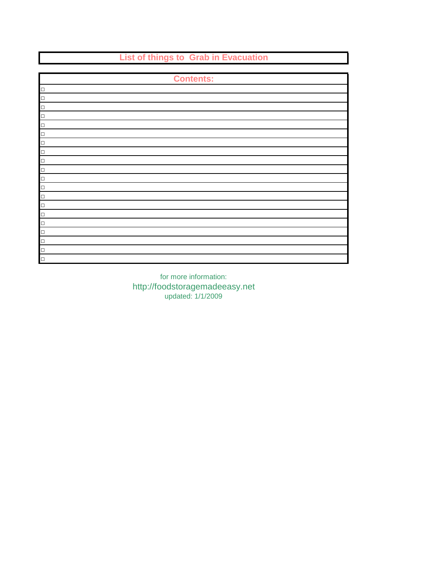**List of things to Grab in Evacuation Contents:** □ □  $\Box$ □ □ □ □ □ □ □ □ □ □ □ □ □ □ □ □ □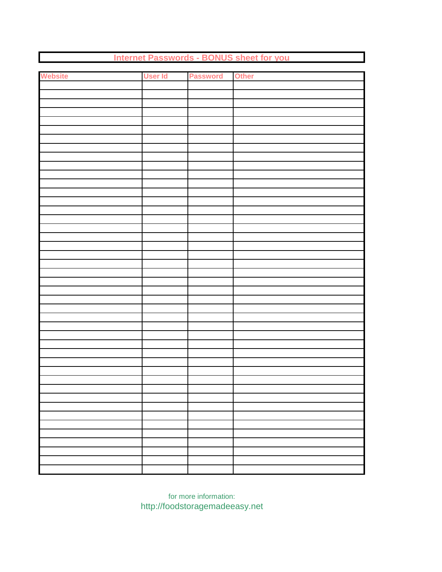| <b>Website</b> | User Id | <b>Password</b> Other |  |  |  |
|----------------|---------|-----------------------|--|--|--|
|                |         |                       |  |  |  |
|                |         |                       |  |  |  |
|                |         |                       |  |  |  |
|                |         |                       |  |  |  |
|                |         |                       |  |  |  |
|                |         |                       |  |  |  |
|                |         |                       |  |  |  |
|                |         |                       |  |  |  |
|                |         |                       |  |  |  |
|                |         |                       |  |  |  |
|                |         |                       |  |  |  |
|                |         |                       |  |  |  |
|                |         |                       |  |  |  |
|                |         |                       |  |  |  |
|                |         |                       |  |  |  |
|                |         |                       |  |  |  |
|                |         |                       |  |  |  |
|                |         |                       |  |  |  |
|                |         |                       |  |  |  |
|                |         |                       |  |  |  |
|                |         |                       |  |  |  |
|                |         |                       |  |  |  |
|                |         |                       |  |  |  |
|                |         |                       |  |  |  |
|                |         |                       |  |  |  |
|                |         |                       |  |  |  |
|                |         |                       |  |  |  |
|                |         |                       |  |  |  |
|                |         |                       |  |  |  |
|                |         |                       |  |  |  |
|                |         |                       |  |  |  |
|                |         |                       |  |  |  |
|                |         |                       |  |  |  |
|                |         |                       |  |  |  |
|                |         |                       |  |  |  |
|                |         |                       |  |  |  |
|                |         |                       |  |  |  |
|                |         |                       |  |  |  |
|                |         |                       |  |  |  |
|                |         |                       |  |  |  |
|                |         |                       |  |  |  |
|                |         |                       |  |  |  |
|                |         |                       |  |  |  |
|                |         |                       |  |  |  |

**Internet Passwords - BONUS sheet for you**

for more information: http://foodstoragemadeeasy.net